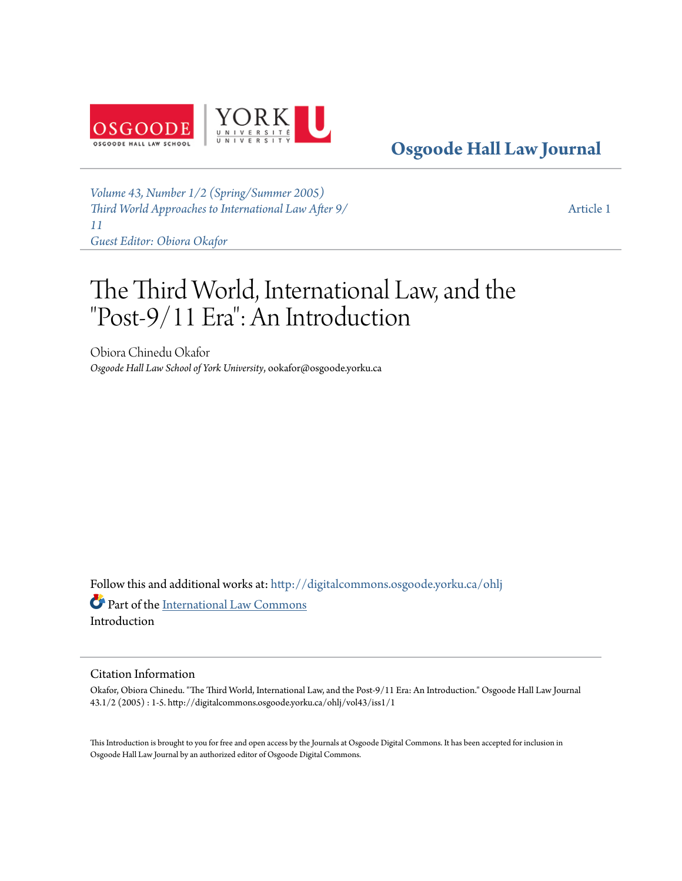

**[Osgoode Hall Law Journal](http://digitalcommons.osgoode.yorku.ca/ohlj?utm_source=digitalcommons.osgoode.yorku.ca%2Fohlj%2Fvol43%2Fiss1%2F1&utm_medium=PDF&utm_campaign=PDFCoverPages)**

*[Volume 43, Number 1/2 \(Spring/Summer 2005\)](http://digitalcommons.osgoode.yorku.ca/ohlj/vol43/iss1?utm_source=digitalcommons.osgoode.yorku.ca%2Fohlj%2Fvol43%2Fiss1%2F1&utm_medium=PDF&utm_campaign=PDFCoverPages) [Third World Approaches to International Law After 9/](http://digitalcommons.osgoode.yorku.ca/ohlj/vol43/iss1?utm_source=digitalcommons.osgoode.yorku.ca%2Fohlj%2Fvol43%2Fiss1%2F1&utm_medium=PDF&utm_campaign=PDFCoverPages) [11](http://digitalcommons.osgoode.yorku.ca/ohlj/vol43/iss1?utm_source=digitalcommons.osgoode.yorku.ca%2Fohlj%2Fvol43%2Fiss1%2F1&utm_medium=PDF&utm_campaign=PDFCoverPages) [Guest Editor: Obiora Okafor](http://digitalcommons.osgoode.yorku.ca/ohlj/vol43/iss1?utm_source=digitalcommons.osgoode.yorku.ca%2Fohlj%2Fvol43%2Fiss1%2F1&utm_medium=PDF&utm_campaign=PDFCoverPages)*

[Article 1](http://digitalcommons.osgoode.yorku.ca/ohlj/vol43/iss1/1?utm_source=digitalcommons.osgoode.yorku.ca%2Fohlj%2Fvol43%2Fiss1%2F1&utm_medium=PDF&utm_campaign=PDFCoverPages)

# The Third World, International Law, and the "Post-9/11 Era": An Introduction

Obiora Chinedu Okafor *Osgoode Hall Law School of York University*, ookafor@osgoode.yorku.ca

Follow this and additional works at: [http://digitalcommons.osgoode.yorku.ca/ohlj](http://digitalcommons.osgoode.yorku.ca/ohlj?utm_source=digitalcommons.osgoode.yorku.ca%2Fohlj%2Fvol43%2Fiss1%2F1&utm_medium=PDF&utm_campaign=PDFCoverPages)

Part of the [International Law Commons](http://network.bepress.com/hgg/discipline/609?utm_source=digitalcommons.osgoode.yorku.ca%2Fohlj%2Fvol43%2Fiss1%2F1&utm_medium=PDF&utm_campaign=PDFCoverPages) Introduction

#### Citation Information

Okafor, Obiora Chinedu. "The Third World, International Law, and the Post-9/11 Era: An Introduction." Osgoode Hall Law Journal 43.1/2 (2005) : 1-5. http://digitalcommons.osgoode.yorku.ca/ohlj/vol43/iss1/1

This Introduction is brought to you for free and open access by the Journals at Osgoode Digital Commons. It has been accepted for inclusion in Osgoode Hall Law Journal by an authorized editor of Osgoode Digital Commons.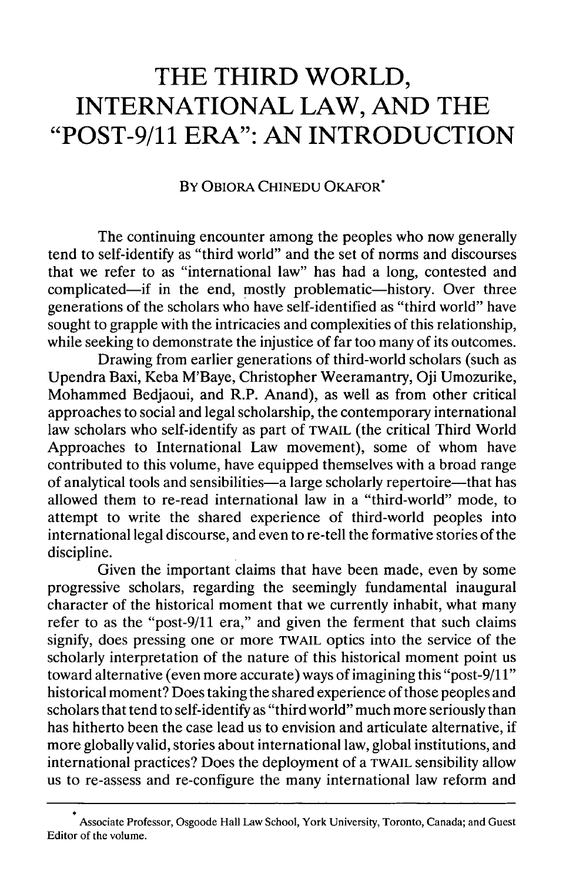## **THE THIRD WORLD, INTERNATIONAL LAW, AND THE "POST-9/11 ERA": AN INTRODUCTION**

### BY OBIORA **CHINEDU** OKAFOR\*

The continuing encounter among the peoples who now generally tend to self-identify as "third world" and the set of norms and discourses that we refer to as "international law" has had a long, contested and complicated—if in the end, mostly problematic—history. Over three generations of the scholars who have self-identified as "third world" have sought to grapple with the intricacies and complexities of this relationship, while seeking to demonstrate the injustice of far too many of its outcomes.

Drawing from earlier generations of third-world scholars (such as Upendra Baxi, Keba M'Baye, Christopher Weeramantry, Oji Umozurike, Mohammed Bedjaoui, and R.P. Anand), as well as from other critical approaches to social and legal scholarship, the contemporary international law scholars who self-identify as part of TWAIL (the critical Third World Approaches to International Law movement), some of whom have contributed to this volume, have equipped themselves with a broad range of analytical tools and sensibilities-a large scholarly repertoire-that has allowed them to re-read international law in a "third-world" mode, to attempt to write the shared experience of third-world peoples into international legal discourse, and even to re-tell the formative stories of the discipline.

Given the important claims that have been made, even by some progressive scholars, regarding the seemingly fundamental inaugural character of the historical moment that we currently inhabit, what many refer to as the "post-9/11 era," and given the ferment that such claims signify, does pressing one or more TWAIL optics into the service of the scholarly interpretation of the nature of this historical moment point us toward alternative (even more accurate) ways of imagining this "post-9/11" historical moment? Does taking the shared experience of those peoples and scholars that tend to self-identify as "third world" much more seriously than has hitherto been the case lead us to envision and articulate alternative, if more globally valid, stories about international law, global institutions, and international practices? Does the deployment of a TWAIL sensibility allow us to re-assess and re-configure the many international law reform and

Associate Professor, Osgoode Hall Law School, York University, Toronto, Canada; and Guest Editor of the volume.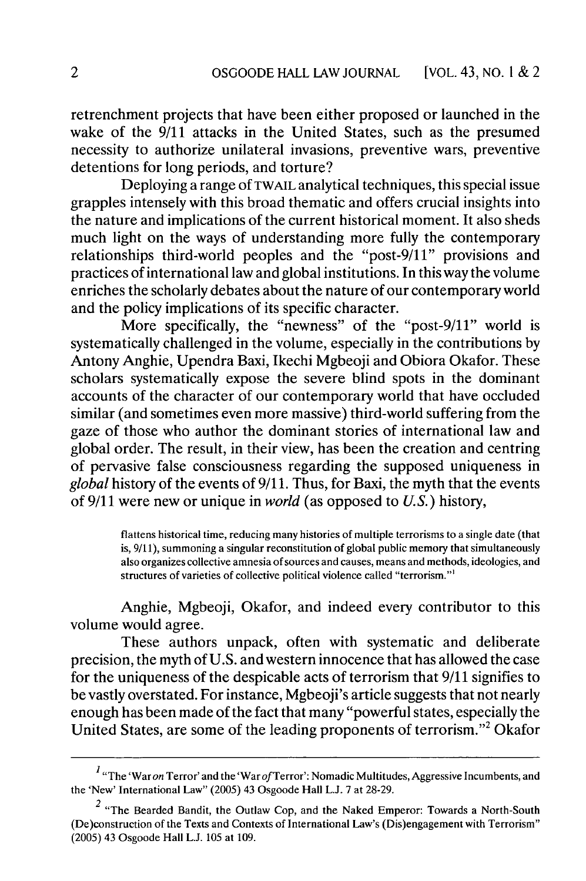retrenchment projects that have been either proposed or launched in the wake of the 9/11 attacks in the United States, such as the presumed necessity to authorize unilateral invasions, preventive wars, preventive detentions for long periods, and torture?

Deploying a range of TWAIL analytical techniques, this special issue grapples intensely with this broad thematic and offers crucial insights into the nature and implications of the current historical moment. It also sheds much light on the ways of understanding more fully the contemporary relationships third-world peoples and the "post-9/11" provisions and practices of international law and global institutions. In this way the volume enriches the scholarly debates about the nature of our contemporary world and the policy implications of its specific character.

More specifically, the "newness" of the "post-9/11" world is systematically challenged in the volume, especially in the contributions by Antony Anghie, Upendra Baxi, Ikechi Mgbeoji and Obiora Okafor. These scholars systematically expose the severe blind spots in the dominant accounts of the character of our contemporary world that have occluded similar (and sometimes even more massive) third-world suffering from the gaze of those who author the dominant stories of international law and global order. The result, in their view, has been the creation and centring of pervasive false consciousness regarding the supposed uniqueness in *global* history of the events of 9/11. Thus, for Baxi, the myth that the events of 9/11 were new or unique in *world* (as opposed to *U.S.)* history,

> flattens historical time, reducing many histories of multiple terrorisms to a single date (that is, 9/11), summoning a singular reconstitution of global public memory that simultaneously also organizes collective amnesia of sources and causes, means and methods, ideologies, and structures of varieties of collective political violence called "terrorism."'

Anghie, Mgbeoji, Okafor, and indeed every contributor to this volume would agree.

These authors unpack, often with systematic and deliberate precision, the myth of U.S. and western innocence that has allowed the case for the uniqueness of the despicable acts of terrorism that 9/11 signifies to be vastly overstated. For instance, Mgbeoji's article suggests that not nearly enough has been made of the fact that many "powerful states, especially the United States, are some of the leading proponents of terrorism."' Okafor

<sup>&</sup>lt;sup>I</sup> "The 'War on Terror' and the 'War of Terror': Nomadic Multitudes, Aggressive Incumbents, and the 'New' International Law" (2005) 43 Osgoode Hall L.J. 7 at 28-29.

 $2$  "The Bearded Bandit, the Outlaw Cop, and the Naked Emperor: Towards a North-South (De)construction of the Texts and Contexts of International Law's (Dis)engagement with Terrorism" (2005) 43 Osgoode Hall L.J. 105 at 109.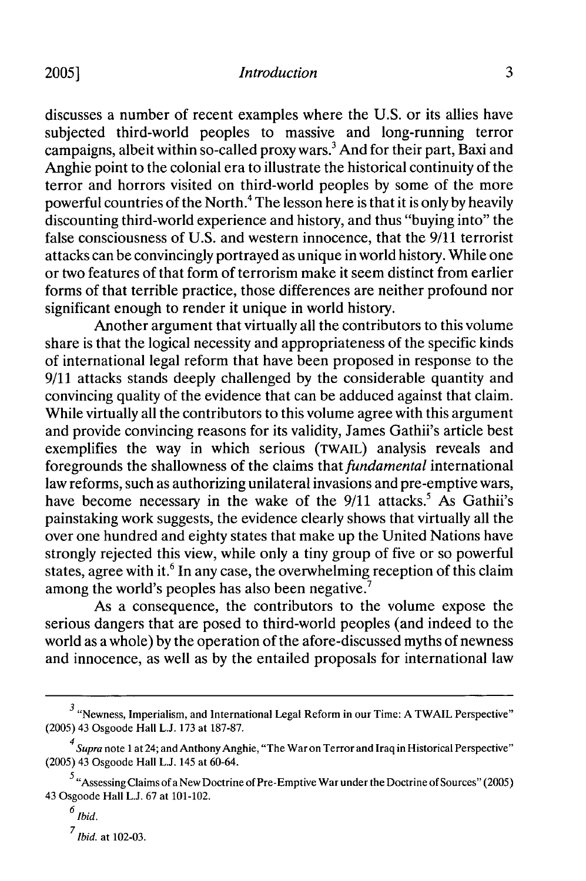discusses a number of recent examples where the U.S. or its allies have subjected third-world peoples to massive and long-running terror campaigns, albeit within so-called proxy wars.3 And for their part, Baxi and Anghie point to the colonial era to illustrate the historical continuity of the terror and horrors visited on third-world peoples by some of the more powerful countries of the North.4 The lesson here is that it is only by heavily discounting third-world experience and history, and thus "buying into" the false consciousness of U.S. and western innocence, that the 9/11 terrorist attacks can be convincingly portrayed as unique in world history. While one or two features of that form of terrorism make it seem distinct from earlier forms of that terrible practice, those differences are neither profound nor significant enough to render it unique in world history.

Another argument that virtually all the contributors to this volume share is that the logical necessity and appropriateness of the specific kinds of international legal reform that have been proposed in response to the 9/11 attacks stands deeply challenged by the considerable quantity and convincing quality of the evidence that can be adduced against that claim. While virtually all the contributors to this volume agree with this argument and provide convincing reasons for its validity, James Gathii's article best exemplifies the way in which serious (TWAIL) analysis reveals and foregrounds the shallowness of the claims *that fundamental* international law reforms, such as authorizing unilateral invasions and pre-emptive wars, have become necessary in the wake of the  $9/11$  attacks.<sup>5</sup> As Gathii's painstaking work suggests, the evidence clearly shows that virtually all the over one hundred and eighty states that make up the United Nations have strongly rejected this view, while only a tiny group of five or so powerful states, agree with it.<sup>6</sup> In any case, the overwhelming reception of this claim among the world's peoples has also been negative.<sup>7</sup>

As a consequence, the contributors to the volume expose the serious dangers that are posed to third-world peoples (and indeed to the world as a whole) by the operation of the afore-discussed myths of newness and innocence, as well as by the entailed proposals for international law

**7** *Ibid.* at 102-03.

 $3$  "Newness, Imperialism, and International Legal Reform in our Time: A TWAIL Perspective" (2005) 43 Osgoode Hall L.J. 173 at 187-87.

<sup>4</sup>*Supra* note 1 at 24; and Anthony Anghie, "The War on Terror and Iraq in Historical Perspective" (2005) 43 Osgoode Hall L.J. 145 at 60-64.

 $5$  "Assessing Claims of a New Doctrine of Pre-Emptive War under the Doctrine of Sources" (2005) 43 Osgoode Hall L.J. 67 at 101-102.

 $\frac{6}{b}$  *Ibid.*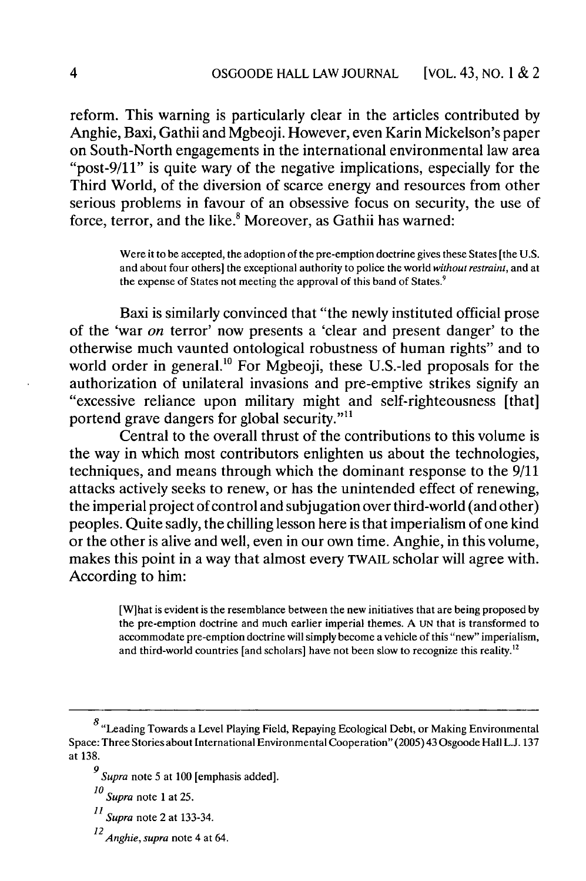reform. This warning is particularly clear in the articles contributed by Anghie, Baxi, Gathii and Mgbeoji. However, even Karin Mickelson's paper on South-North engagements in the international environmental law area "post-9/11" is quite wary of the negative implications, especially for the Third World, of the diversion of scarce energy and resources from other serious problems in favour of an obsessive focus on security, the use of force, terror, and the like.<sup>8</sup> Moreover, as Gathii has warned:

> Were it to be accepted, the adoption of the pre-emption doctrine gives these States [the U.S. and about four others] the exceptional authority to police the world *without restraint,* and at the expense of States not meeting the approval of this band of States.<sup>9</sup>

Baxi is similarly convinced that "the newly instituted official prose of the 'war *on* terror' now presents a 'clear and present danger' to the otherwise much vaunted ontological robustness of human rights" and to world order in general.<sup>10</sup> For Mgbeoji, these U.S.-led proposals for the authorization of unilateral invasions and pre-emptive strikes signify an "excessive reliance upon military might and self-righteousness [that] portend grave dangers for global security."'<sup>1</sup>

Central to the overall thrust of the contributions to this volume is the way in which most contributors enlighten us about the technologies, techniques, and means through which the dominant response to the 9/11 attacks actively seeks to renew, or has the unintended effect of renewing, the imperial project of control and subjugation over third-world (and other) peoples. Quite sadly, the chilling lesson here is that imperialism of one kind or the other is alive and well, even in our own time. Anghie, in this volume, makes this point in a way that almost every TWAIL scholar will agree with. According to him:

> [Wlhat is evident is the resemblance between the new initiatives that are being proposed by the pre-emption doctrine and much earlier imperial themes. A UN that is transformed to accommodate pre-emption doctrine will simply become a vehicle of this "new" imperialism, and third-world countries [and scholars] have not been slow to recognize this reality.<sup>12</sup>

- **<sup>11</sup>***Supra* note 2 at 133-34.
- *<sup>12</sup> Anghie, supra* note 4 at 64.

 $8$  "Leading Towards a Level Playing Field, Repaying Ecological Debt, or Making Environmental Space: Three Stories about International Environmental Cooperation" (2005) 43 Osgoode Hall L.J. 137 at 138.

**<sup>9</sup>***Supra* note 5 at **100** [emphasis added].

*<sup>10</sup> Supra* note 1 at 25.